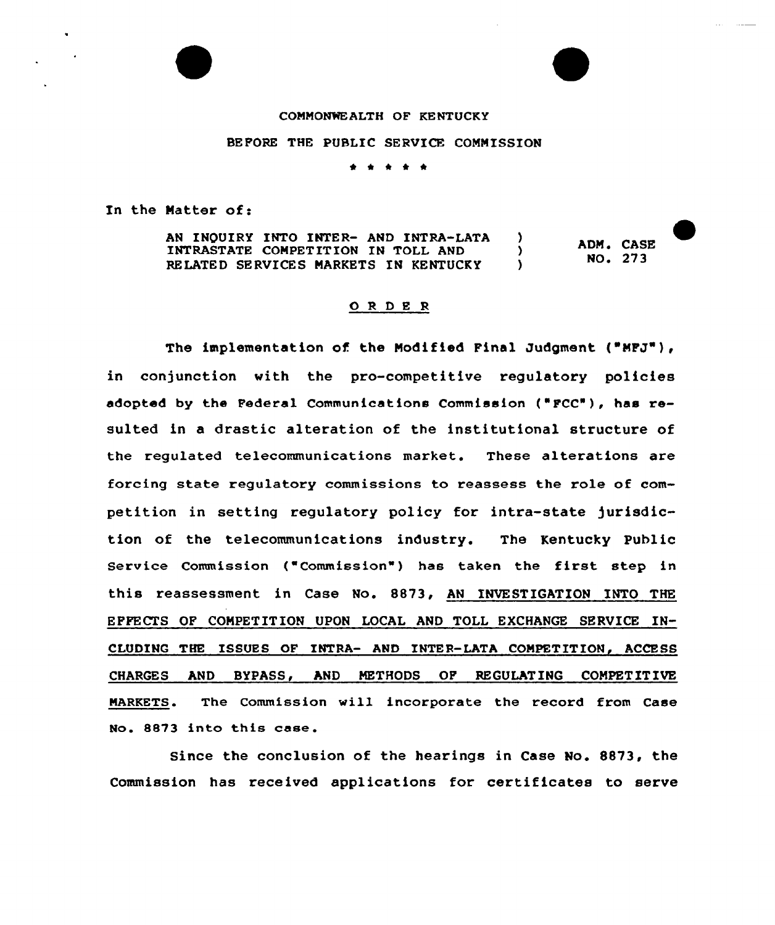## COMMONWEALTH OF KE NTUCKY

BEFORE THE PUBLIC SERVICE COMMISSION

\* \* \* \*

In the Natter of:

AN INQUIRY INTO INTER- AND INTRA-LATA )<br>INTRASTATE COMPETITION IN TOLL AND ) INTRASTATE COMPETITION IN TOLL AND (1)<br>RELATED SERVICES MARKETS IN KENTUCKY RELATED SERVICES MARKETS IN KENTUCKY ADM. CASE NO. 273

## ORDER

The implementation of the Modified Final Judgment ("MFJ"), in conjunction with the pro-competitive regulatory policies adopted by the Federal Communications Commission ("FCC"), has resulted in a drastic alteration of the institutional structure of the regulated telecommunications market. These alterations are forcing state regulatory commissions to reassess the role of competition in setting regulatory policy for intra-state jurisdiction of the telecommunications industry. The Kentucky Public Service Commission ("Commission") has taken the first step in this reassessment in Case No. 8873, AN INVESTIGATION INTO THE EFFECTS OF COMPETITION UPON LOCAL AND TOLL EXCHANGE SERVICE IN-CLUDING THE ISSUES OF INTRA- AND INTER-LATA COMPETITION, ACCESS CHARGES AND BYPASS, AND METHODS OF REGULATING COMPETITIVE MARKETS. The Commission will incorporate the record from Case No. 8873 into this case.

Since the conclusion of the hearings in Case No. 8873, the Commission has received applications for certificates to serve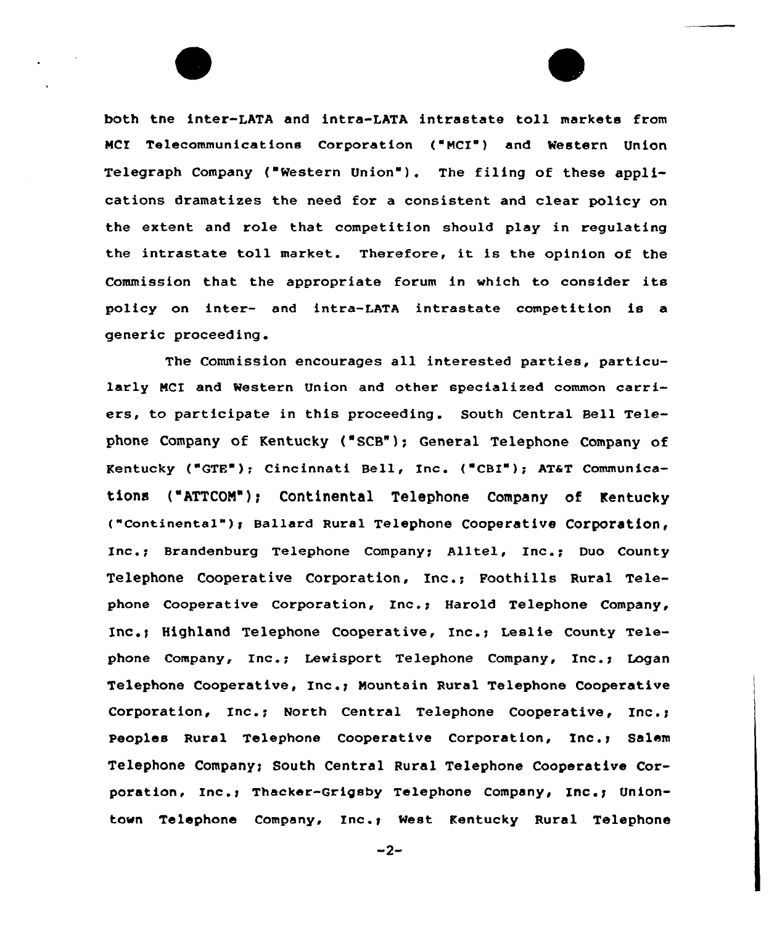both tne inter-LATA and intra-LATA intrastate toll markets from MCI Telecommunications Corporation ("MCI") and Western Union Telegraph Company ("Western Union"). The filing of these applications dramatizes the need for a consistent and clear policy on the extent and role that competition should play in regulating the intrastate toll market. Therefore, it is the opinion of the Commission that the appropriate forum in which to consider its policy on inter- and intra-LATA intrastate competition is a generic proceeding.

The Commission encourages all interested parties, particularly MCI and Western Union and other specialized common carriers, to participate in this proceeding. South Central Bell Telephone Company of Kentucky {'SCB"); General Telephone Company of Kentucky ("GTE"); Cincinnati Bell, Inc. ("CBI"); AT&T Communications ("ATTCOM"): Continental Telephone Company of Kentucky ("Continental"); Ballard Rural Telephone Cooperative Corporation, Inc.; Brandenburg Telephone Company; Alltel, Inc.; Duo County Telephone Cooperative Corporation, Inc.; Foothills Rural Telephone Cooperative Corporation, Inc.; Harold Telephone Company, Inc.i Highland Telephone Cooperative, Inc.q Leslie County Telephone Company, Inc.; Lewisport Telephone Company, Inc.; Logan Telephone Cooperative, Inc.g Mountain Rural Telephone Cooperative Corporation, Inc.; North Central Telephone Cooperative, Inc.g Peoples Rural Telephone Cooperative Corporation, Inc.; Salem Telephone Companyt South Central Rural Telephone Cooperative Corporation, Inc.; Thacker-Grigsby Telephone Company, Inc.; Uniontown Telephone Company, Inc.; West Kentucky Rural Telephone

 $-2-$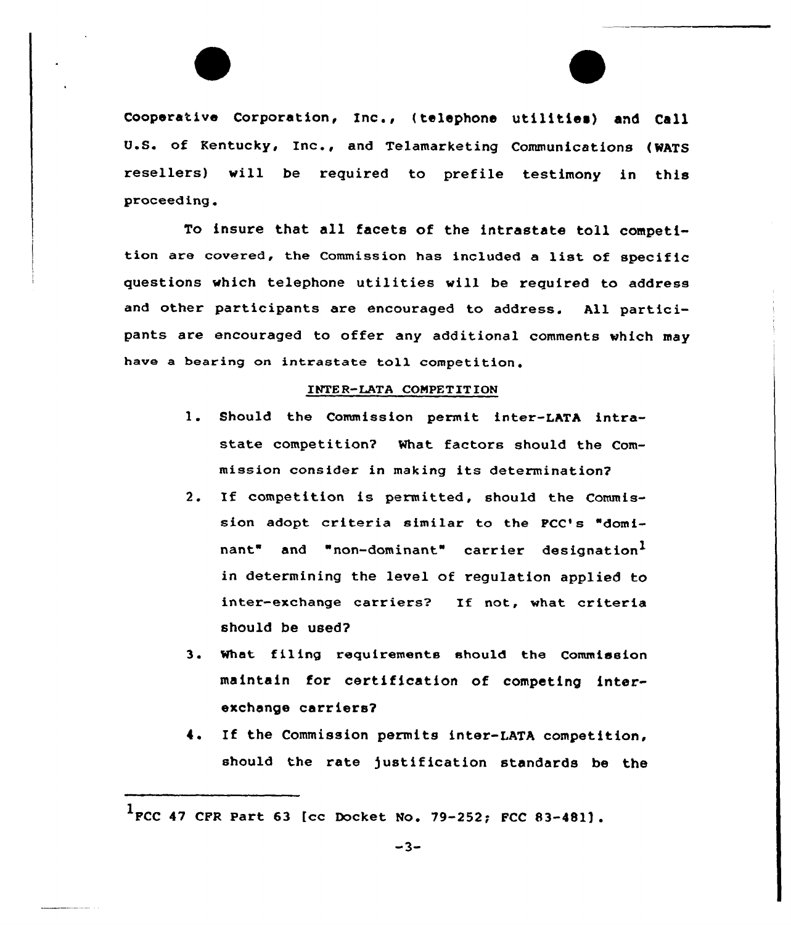Cooperative Corporation, Inc., (telephone utilities) and Call U.S. of Kentucky, Inc., and Telamarketing Communications (WATS resellers) will be required to prefile testimony in this proceed ing .

To insure that all facets of the intrastate toll competition are covered, the Commission has included <sup>a</sup> list of specific questions which telephone utilities will be required to address and other participants are encouraged to address. All participants are encouraged to offer any additional comments which may have a bearing on intrastate toll competition.

## INTE R-LATA COMPET ITION

- 1. Should the Commission permit inter-LATA intrastate competition? What factors should the Commission consider in making its determination?
- 2. If competition is permitted, should the Commission adopt criteria similar to the FCC's "dominant" and "non-dominant" carrier designation<sup>1</sup> in determining the level of regulation applied to inter-exchange carriers? If not, what criteria should be used?
- 3. What filing requirements should the Commission maintain for certification of competing interexchange carriers?
- 4. If the Commission permits inter-LATA competition, should the rate justification standards be the

<sup>1</sup> FCC <sup>47</sup> CFR Part <sup>63</sup> [cc Docket No. 79-252; FCC 83-48ll .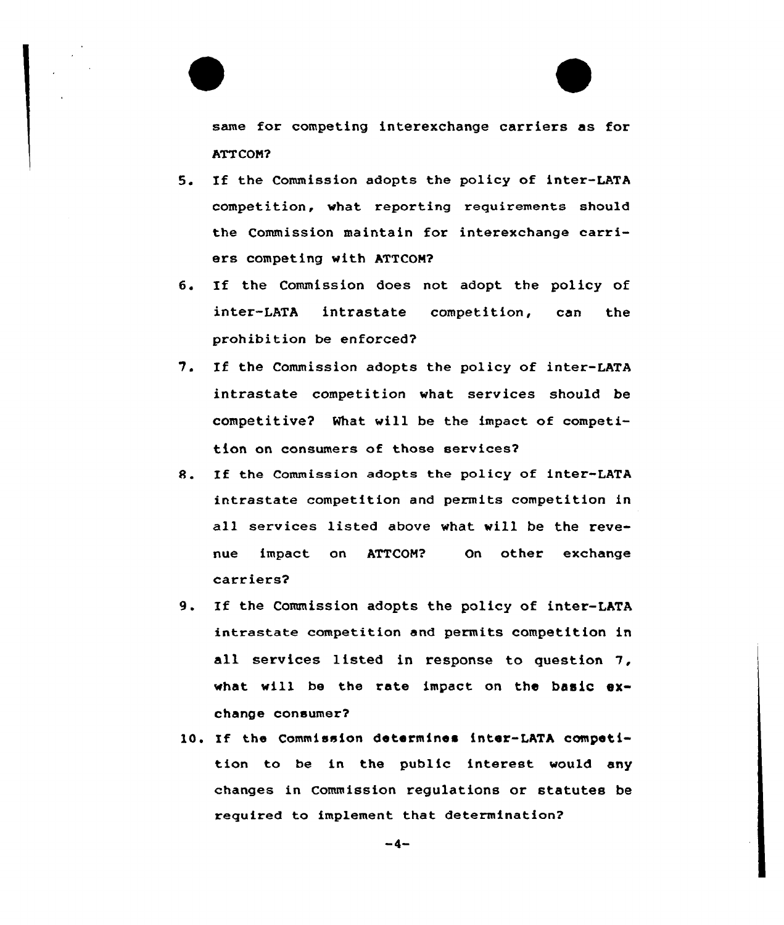same for competing interexchange carriers as for ATTCOM?

- 5. If the Commission adopts the policy of inter-LATA competition, what reporting requirements should the Commission maintain for interexchange carriers competing with ATTCOM?
- 6. If the Commission does not adopt the policy of inter-LATA intrastate competition, can the prohibition be enforced?
- 7. If the Commission adopts the policy of inter-LATA intrastate competition what services should be competitive? What will be the impact of competition on consumers of those services2
- R. If the Commission adopts the policy of inter-LATA intrastate competition and permits competition in all services listed above what will be the revenue impact on ATTCON? On other exchange carriers?
- 9. If the Commission adopts the policy of inter-LATA intrastate competition and permits competition in all services listed in response to question 7, what will be the rate impact on the basic exchange consumer?
- 10. If the Commission determines inter-LATA competition to be in the public interest would any changes in Commission regulations or statutes be required to implement that determination?

 $-4-$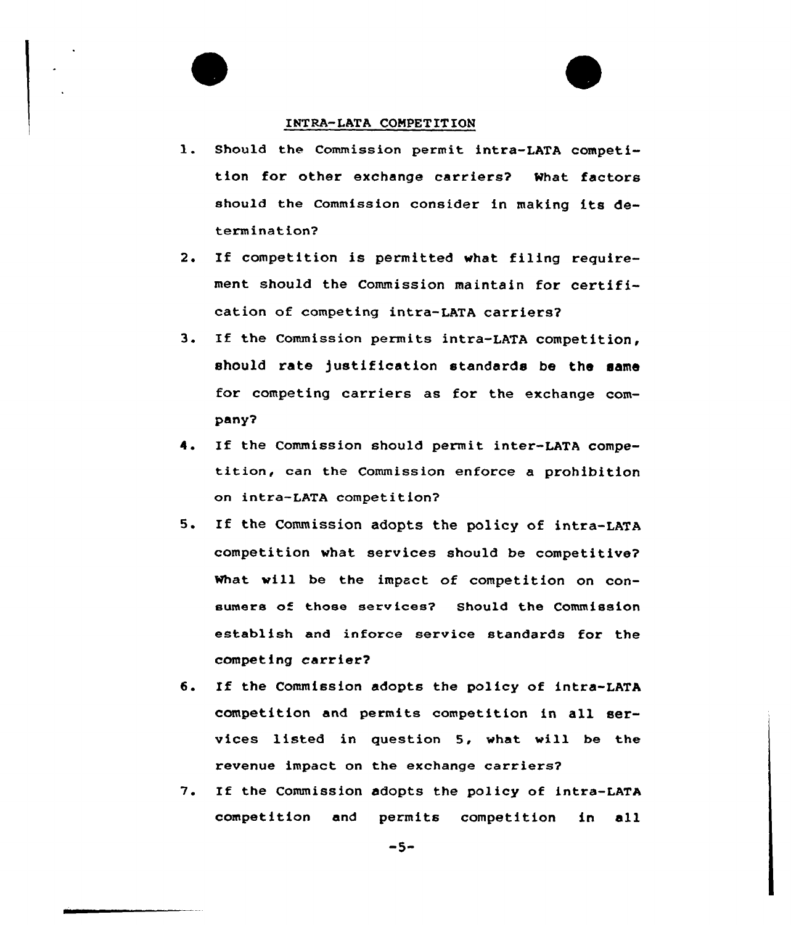## INTRA-LATA CONPETITION

- 1. Should the Commission permit intra-LATA competition for other exchange carriers? What factors should the commission consider in making its determination?
- 2. If competition is permitted whet filing requirement should the Commission maintain for certification of competing intra-LATA carriers?
- 3. If the Commission permits intra-LATA competition, should rate )ustification standards be the same for competing carriers as for the exchange company?
- 4. If the Commission should permit inter-LATA competition, can the Commission enforce a prohibition on intra-LATA competition?
- 5. If the Commission adopts the policy of intra-LATA competition what services should be competitive? what will be the impact of competition on consumers of those services? Should the Commission establish and inforce service standards for the competing carrier?
- 6. If the Commission adopts the policy of intra-LATA competition and permits competition in all services listed in question 5, vhat vill be the revenue impact on the exchange carriers?
- 1. If the Commission adopts the policy of intra-LATA competition and permits competition in all

 $-5-$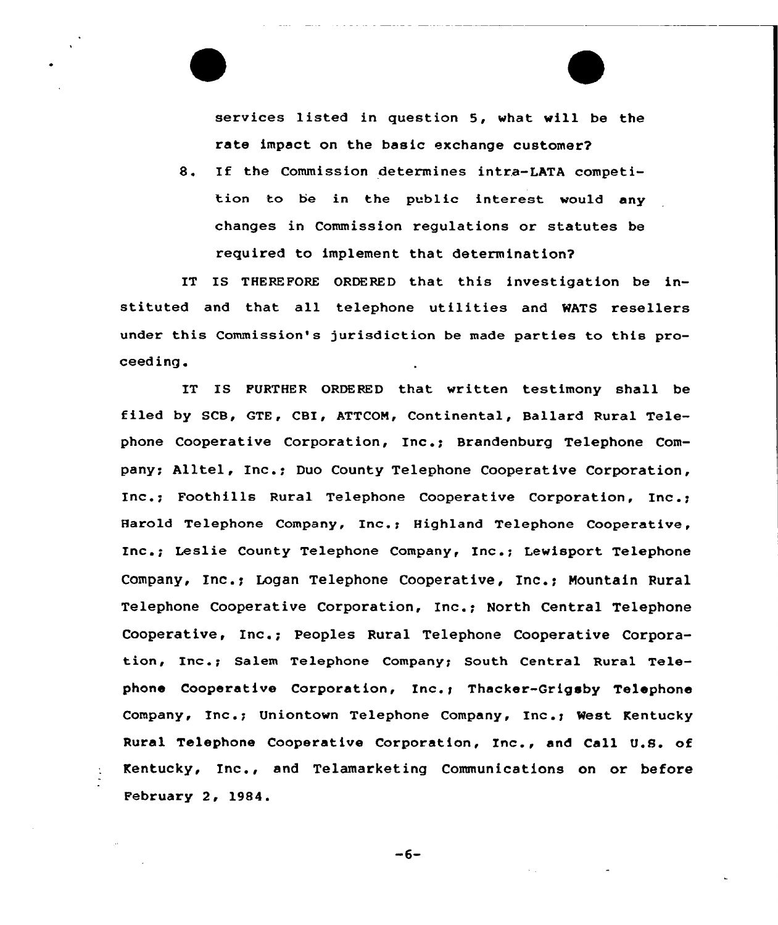services listed in question 5, what will be the rate impact on the basic exchange customer?

8. If the Commission determines intra-LATA competition to be in the public interest would any changes in Commission regulations or statutes be required to implement that determination?

IT IS THEREFORE ORDERED that this investigation be instituted and that all telephone utilities and WATS resellers under this Commission's jurisdiction be made parties to this proceeding.

IT IS FURTHER ORDERED that written testimony shall be filed by SCB, GTE, CBI, ATTCON, Continental, Ballard Rural Telephone Cooperative Corporation, Inc.; Brandenburg Telephone Company; Alltel, Inc.; Duo County Telephone Cooperative Corporation, Inc.; Foothills Rural Telephone Cooperative Corporation, Inc.; Harold Telephone Company, Inc.: Highland Telephone Cooperative. Inc.; Leslie County Telephone Company, Inc.; Lewisport Telephone Company, Inc.; Logan Telephone Cooperative, Inc.; Mountain Rural Telephone Cooperative Corporation, Inc.; North Central Telephone Cooperative, Inc.; peoples Rural Telephone Cooperative Corporation, Inc.; Salem Telephone Company; South Central Rural Telephone Cooperative Corporation, Inc.; Thacker-Grigsby Telephone Company, Inc.; Uniontown Telephone Company, Inc.; West Kentucky Rural Telephone Cooperative Corporation, Inc., and Call U.S. of Kentucky, Inc., and Telamarketing Communications on or before February 2, 1984.

 $-6-$